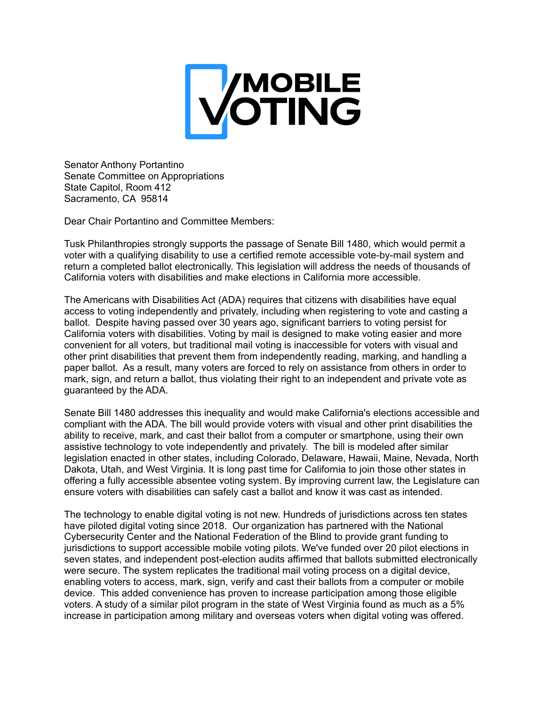

Senator Anthony Portantino Senate Committee on Appropriations State Capitol, Room 412 Sacramento, CA 95814

Dear Chair Portantino and Committee Members:

Tusk Philanthropies strongly supports the passage of Senate Bill 1480, which would permit a voter with a qualifying disability to use a certified remote accessible vote-by-mail system and return a completed ballot electronically. This legislation will address the needs of thousands of California voters with disabilities and make elections in California more accessible.

The Americans with Disabilities Act (ADA) requires that citizens with disabilities have equal access to voting independently and privately, including when registering to vote and casting a ballot. Despite having passed over 30 years ago, significant barriers to voting persist for California voters with disabilities. Voting by mail is designed to make voting easier and more convenient for all voters, but traditional mail voting is inaccessible for voters with visual and other print disabilities that prevent them from independently reading, marking, and handling a paper ballot. As a result, many voters are forced to rely on assistance from others in order to mark, sign, and return a ballot, thus violating their right to an independent and private vote as guaranteed by the ADA.

Senate Bill 1480 addresses this inequality and would make California's elections accessible and compliant with the ADA. The bill would provide voters with visual and other print disabilities the ability to receive, mark, and cast their ballot from a computer or smartphone, using their own assistive technology to vote independently and privately. The bill is modeled after similar legislation enacted in other states, including Colorado, Delaware, Hawaii, Maine, Nevada, North Dakota, Utah, and West Virginia. It is long past time for California to join those other states in offering a fully accessible absentee voting system. By improving current law, the Legislature can ensure voters with disabilities can safely cast a ballot and know it was cast as intended.

The technology to enable digital voting is not new. Hundreds of jurisdictions across ten states have piloted digital voting since 2018. Our organization has partnered with the National Cybersecurity Center and the National Federation of the Blind to provide grant funding to jurisdictions to support accessible mobile voting pilots. We've funded over 20 pilot elections in seven states, and independent post-election audits affirmed that ballots submitted electronically were secure. The system replicates the traditional mail voting process on a digital device, enabling voters to access, mark, sign, verify and cast their ballots from a computer or mobile device. This added convenience has proven to increase participation among those eligible voters. A study of a similar pilot program in the state of West Virginia found as much as a 5% increase in participation among military and overseas voters when digital voting was offered.